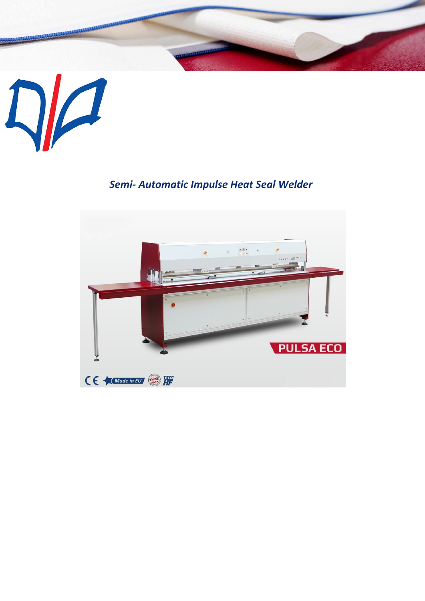

## *Semi- Automatic Impulse Heat Seal Welder*